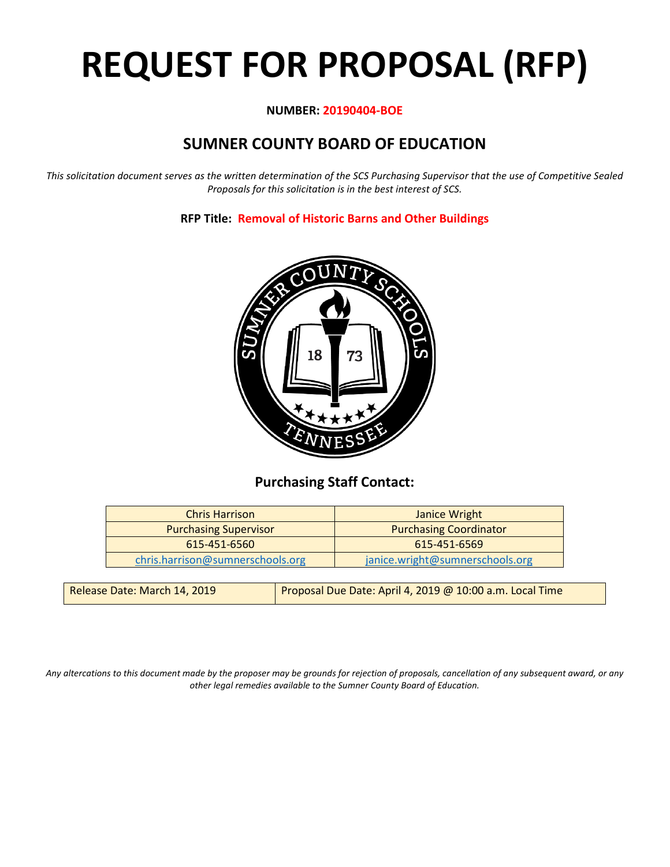# **REQUEST FOR PROPOSAL (RFP)**

#### **NUMBER: 20190404-BOE**

# **SUMNER COUNTY BOARD OF EDUCATION**

*This solicitation document serves as the written determination of the SCS Purchasing Supervisor that the use of Competitive Sealed Proposals for this solicitation is in the best interest of SCS.*

**RFP Title: Removal of Historic Barns and Other Buildings**



## **Purchasing Staff Contact:**

| <b>Chris Harrison</b>            | Janice Wright                   |
|----------------------------------|---------------------------------|
| <b>Purchasing Supervisor</b>     | <b>Purchasing Coordinator</b>   |
| 615-451-6560                     | $615 - 451 - 6569$              |
| chris.harrison@sumnerschools.org | janice.wright@sumnerschools.org |

| Proposal Due Date: April 4, 2019 @ 10:00 a.m. Local Time<br>Release Date: March 14, 2019 |  |
|------------------------------------------------------------------------------------------|--|
|------------------------------------------------------------------------------------------|--|

*Any altercations to this document made by the proposer may be grounds for rejection of proposals, cancellation of any subsequent award, or any other legal remedies available to the Sumner County Board of Education.*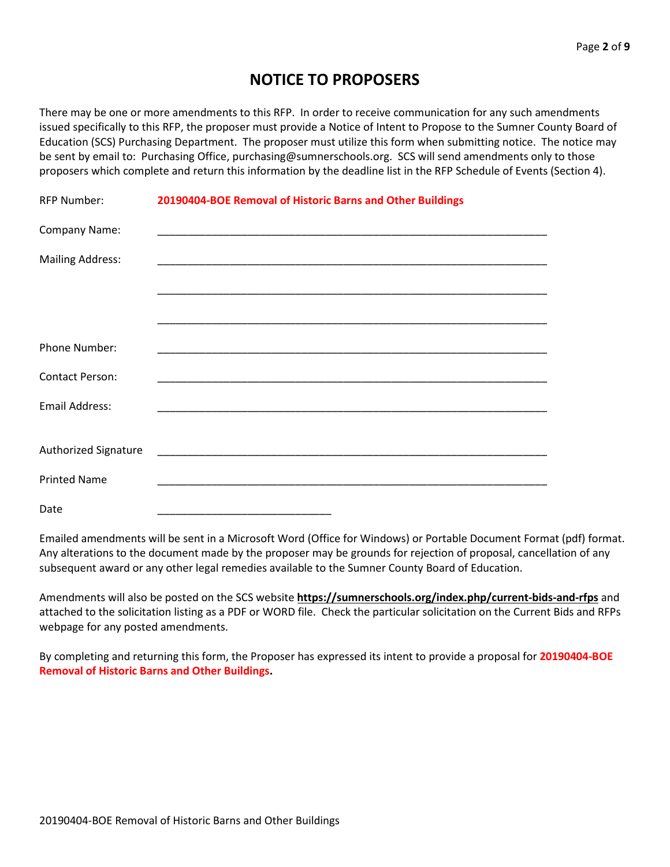# **NOTICE TO PROPOSERS**

There may be one or more amendments to this RFP. In order to receive communication for any such amendments issued specifically to this RFP, the proposer must provide a Notice of Intent to Propose to the Sumner County Board of Education (SCS) Purchasing Department. The proposer must utilize this form when submitting notice. The notice may be sent by email to: Purchasing Office, purchasing@sumnerschools.org. SCS will send amendments only to those proposers which complete and return this information by the deadline list in the RFP Schedule of Events (Section 4).

| <b>RFP Number:</b>      | 20190404-BOE Removal of Historic Barns and Other Buildings |
|-------------------------|------------------------------------------------------------|
| Company Name:           |                                                            |
| <b>Mailing Address:</b> |                                                            |
|                         |                                                            |
|                         |                                                            |
| Phone Number:           |                                                            |
| <b>Contact Person:</b>  |                                                            |
| Email Address:          |                                                            |
|                         |                                                            |
| Authorized Signature    |                                                            |
| <b>Printed Name</b>     |                                                            |
| Date                    |                                                            |

Emailed amendments will be sent in a Microsoft Word (Office for Windows) or Portable Document Format (pdf) format. Any alterations to the document made by the proposer may be grounds for rejection of proposal, cancellation of any subsequent award or any other legal remedies available to the Sumner County Board of Education.

Amendments will also be posted on the SCS website **https://sumnerschools.org/index.php/current-bids-and-rfps** and attached to the solicitation listing as a PDF or WORD file. Check the particular solicitation on the Current Bids and RFPs webpage for any posted amendments.

By completing and returning this form, the Proposer has expressed its intent to provide a proposal for **20190404-BOE Removal of Historic Barns and Other Buildings.**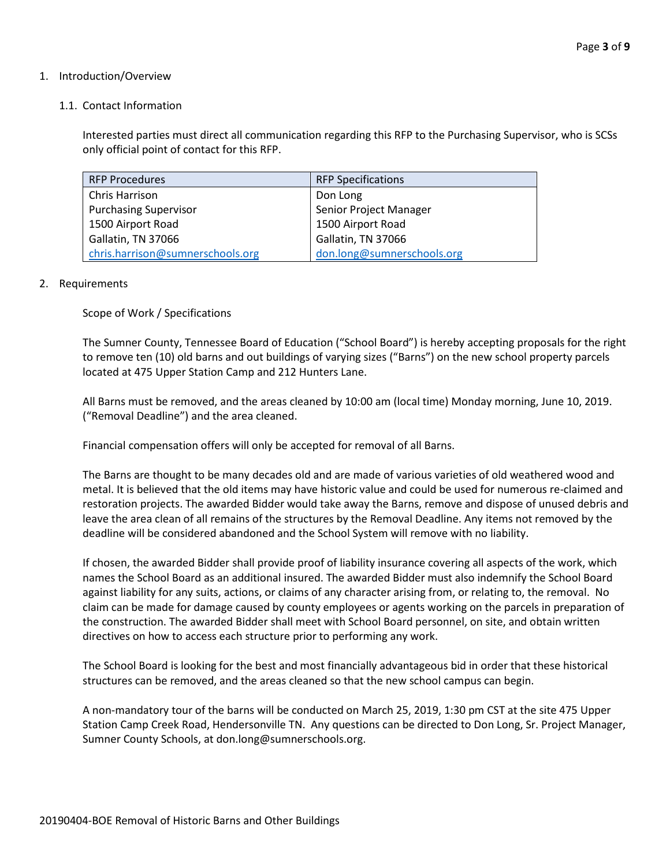#### 1. Introduction/Overview

#### 1.1. Contact Information

Interested parties must direct all communication regarding this RFP to the Purchasing Supervisor, who is SCSs only official point of contact for this RFP.

| <b>RFP Procedures</b>            | <b>RFP Specifications</b>  |
|----------------------------------|----------------------------|
| Chris Harrison                   | Don Long                   |
| <b>Purchasing Supervisor</b>     | Senior Project Manager     |
| 1500 Airport Road                | 1500 Airport Road          |
| Gallatin, TN 37066               | Gallatin, TN 37066         |
| chris.harrison@sumnerschools.org | don.long@sumnerschools.org |

#### 2. Requirements

Scope of Work / Specifications

The Sumner County, Tennessee Board of Education ("School Board") is hereby accepting proposals for the right to remove ten (10) old barns and out buildings of varying sizes ("Barns") on the new school property parcels located at 475 Upper Station Camp and 212 Hunters Lane.

All Barns must be removed, and the areas cleaned by 10:00 am (local time) Monday morning, June 10, 2019. ("Removal Deadline") and the area cleaned.

Financial compensation offers will only be accepted for removal of all Barns.

The Barns are thought to be many decades old and are made of various varieties of old weathered wood and metal. It is believed that the old items may have historic value and could be used for numerous re-claimed and restoration projects. The awarded Bidder would take away the Barns, remove and dispose of unused debris and leave the area clean of all remains of the structures by the Removal Deadline. Any items not removed by the deadline will be considered abandoned and the School System will remove with no liability.

If chosen, the awarded Bidder shall provide proof of liability insurance covering all aspects of the work, which names the School Board as an additional insured. The awarded Bidder must also indemnify the School Board against liability for any suits, actions, or claims of any character arising from, or relating to, the removal. No claim can be made for damage caused by county employees or agents working on the parcels in preparation of the construction. The awarded Bidder shall meet with School Board personnel, on site, and obtain written directives on how to access each structure prior to performing any work.

The School Board is looking for the best and most financially advantageous bid in order that these historical structures can be removed, and the areas cleaned so that the new school campus can begin.

A non-mandatory tour of the barns will be conducted on March 25, 2019, 1:30 pm CST at the site 475 Upper Station Camp Creek Road, Hendersonville TN. Any questions can be directed to Don Long, Sr. Project Manager, Sumner County Schools, at don.long@sumnerschools.org.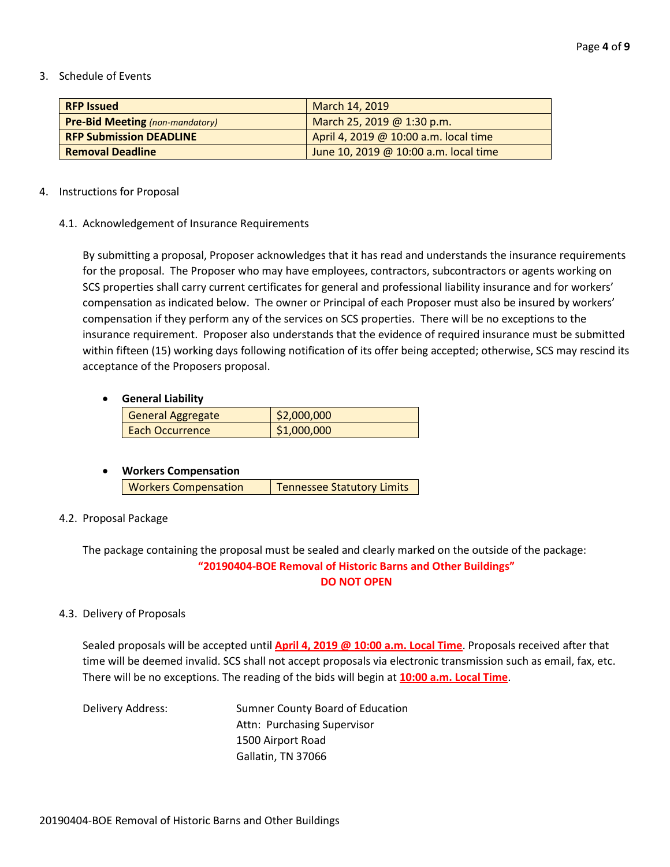#### 3. Schedule of Events

| <b>RFP Issued</b>                      | March 14, 2019                        |
|----------------------------------------|---------------------------------------|
| <b>Pre-Bid Meeting (non-mandatory)</b> | March 25, 2019 @ 1:30 p.m.            |
| <b>RFP Submission DEADLINE</b>         | April 4, 2019 @ 10:00 a.m. local time |
| <b>Removal Deadline</b>                | June 10, 2019 @ 10:00 a.m. local time |

#### 4. Instructions for Proposal

#### 4.1. Acknowledgement of Insurance Requirements

By submitting a proposal, Proposer acknowledges that it has read and understands the insurance requirements for the proposal. The Proposer who may have employees, contractors, subcontractors or agents working on SCS properties shall carry current certificates for general and professional liability insurance and for workers' compensation as indicated below. The owner or Principal of each Proposer must also be insured by workers' compensation if they perform any of the services on SCS properties. There will be no exceptions to the insurance requirement. Proposer also understands that the evidence of required insurance must be submitted within fifteen (15) working days following notification of its offer being accepted; otherwise, SCS may rescind its acceptance of the Proposers proposal.

#### • **General Liability**

| General Aggregate      | \$2,000,000 |
|------------------------|-------------|
| <b>Each Occurrence</b> | \$1,000,000 |

#### • **Workers Compensation**

| <b>Workers Compensation</b> | <b>Tennessee Statutory Limits</b> |
|-----------------------------|-----------------------------------|

#### 4.2. Proposal Package

#### The package containing the proposal must be sealed and clearly marked on the outside of the package: **"20190404-BOE Removal of Historic Barns and Other Buildings" DO NOT OPEN**

#### 4.3. Delivery of Proposals

Sealed proposals will be accepted until **April 4, 2019 @ 10:00 a.m. Local Time**. Proposals received after that time will be deemed invalid. SCS shall not accept proposals via electronic transmission such as email, fax, etc. There will be no exceptions. The reading of the bids will begin at **10:00 a.m. Local Time**.

Delivery Address: Sumner County Board of Education Attn: Purchasing Supervisor 1500 Airport Road Gallatin, TN 37066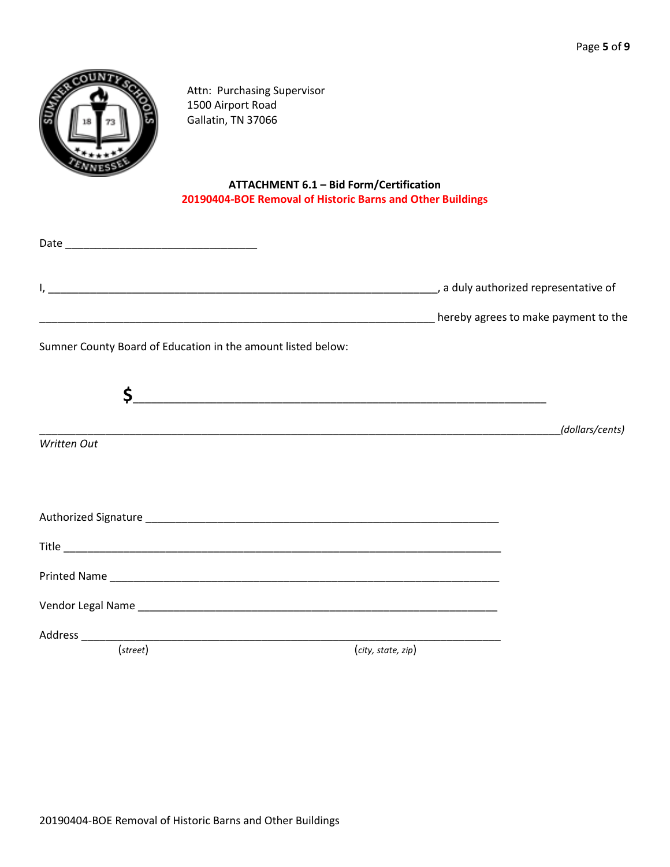

Attn: Purchasing Supervisor 1500 Airport Road Gallatin, TN 37066

### **ATTACHMENT 6.1 – Bid Form/Certification 20190404-BOE Removal of Historic Barns and Other Buildings**

| <b>Maritain Community Community Community</b> Community Community Community Community Community Community Community Co |                    |                 |
|------------------------------------------------------------------------------------------------------------------------|--------------------|-----------------|
| Sumner County Board of Education in the amount listed below:                                                           |                    |                 |
| \$_                                                                                                                    |                    |                 |
|                                                                                                                        |                    | (dollars/cents) |
| Written Out                                                                                                            |                    |                 |
|                                                                                                                        |                    |                 |
|                                                                                                                        |                    |                 |
|                                                                                                                        |                    |                 |
|                                                                                                                        |                    |                 |
|                                                                                                                        |                    |                 |
| Address ____________                                                                                                   |                    |                 |
| (street)                                                                                                               | (city, state, zip) |                 |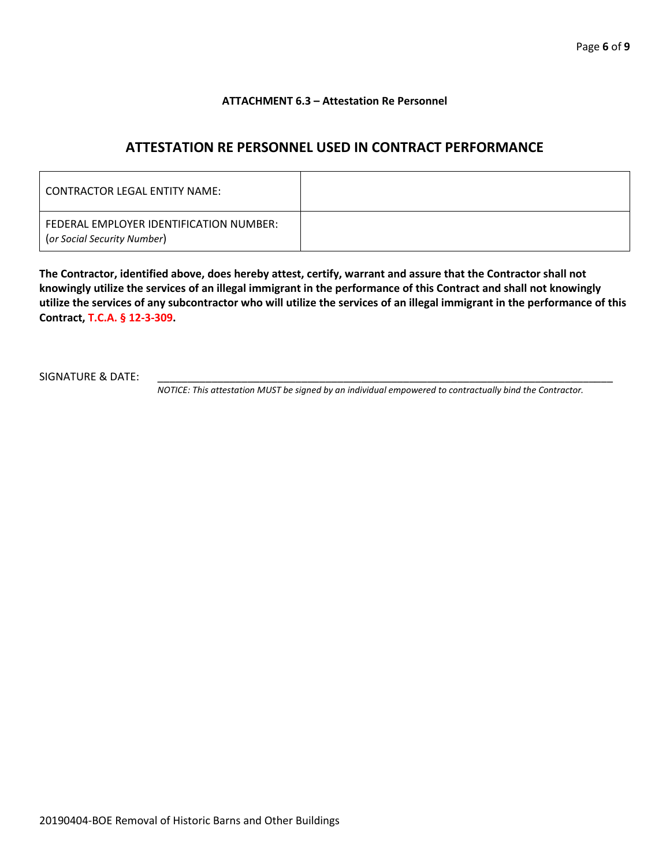#### **ATTACHMENT 6.3 – Attestation Re Personnel**

## **ATTESTATION RE PERSONNEL USED IN CONTRACT PERFORMANCE**

| CONTRACTOR LEGAL ENTITY NAME:                                          |  |
|------------------------------------------------------------------------|--|
| FEDERAL EMPLOYER IDENTIFICATION NUMBER:<br>(or Social Security Number) |  |

**The Contractor, identified above, does hereby attest, certify, warrant and assure that the Contractor shall not knowingly utilize the services of an illegal immigrant in the performance of this Contract and shall not knowingly utilize the services of any subcontractor who will utilize the services of an illegal immigrant in the performance of this Contract, T.C.A. § 12-3-309.**

SIGNATURE & DATE:

*NOTICE: This attestation MUST be signed by an individual empowered to contractually bind the Contractor.*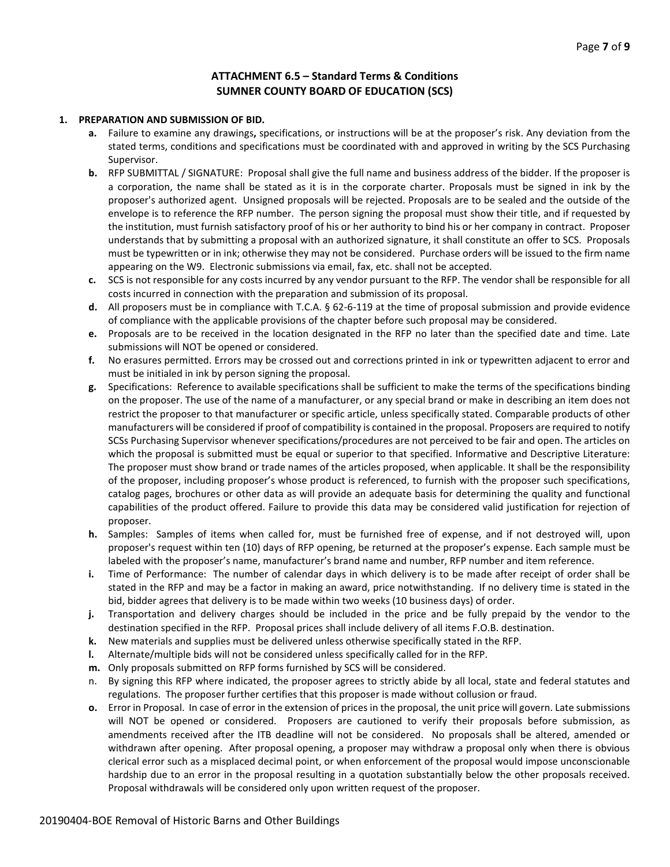#### **ATTACHMENT 6.5 – Standard Terms & Conditions SUMNER COUNTY BOARD OF EDUCATION (SCS)**

#### **1. PREPARATION AND SUBMISSION OF BID.**

- **a.** Failure to examine any drawings**,** specifications, or instructions will be at the proposer's risk. Any deviation from the stated terms, conditions and specifications must be coordinated with and approved in writing by the SCS Purchasing Supervisor.
- **b.** RFP SUBMITTAL / SIGNATURE: Proposal shall give the full name and business address of the bidder. If the proposer is a corporation, the name shall be stated as it is in the corporate charter. Proposals must be signed in ink by the proposer's authorized agent. Unsigned proposals will be rejected. Proposals are to be sealed and the outside of the envelope is to reference the RFP number. The person signing the proposal must show their title, and if requested by the institution, must furnish satisfactory proof of his or her authority to bind his or her company in contract. Proposer understands that by submitting a proposal with an authorized signature, it shall constitute an offer to SCS. Proposals must be typewritten or in ink; otherwise they may not be considered. Purchase orders will be issued to the firm name appearing on the W9. Electronic submissions via email, fax, etc. shall not be accepted.
- **c.** SCS is not responsible for any costs incurred by any vendor pursuant to the RFP. The vendor shall be responsible for all costs incurred in connection with the preparation and submission of its proposal.
- **d.** All proposers must be in compliance with T.C.A. § 62-6-119 at the time of proposal submission and provide evidence of compliance with the applicable provisions of the chapter before such proposal may be considered.
- **e.** Proposals are to be received in the location designated in the RFP no later than the specified date and time. Late submissions will NOT be opened or considered.
- **f.** No erasures permitted. Errors may be crossed out and corrections printed in ink or typewritten adjacent to error and must be initialed in ink by person signing the proposal.
- **g.** Specifications: Reference to available specifications shall be sufficient to make the terms of the specifications binding on the proposer. The use of the name of a manufacturer, or any special brand or make in describing an item does not restrict the proposer to that manufacturer or specific article, unless specifically stated. Comparable products of other manufacturers will be considered if proof of compatibility is contained in the proposal. Proposers are required to notify SCSs Purchasing Supervisor whenever specifications/procedures are not perceived to be fair and open. The articles on which the proposal is submitted must be equal or superior to that specified. Informative and Descriptive Literature: The proposer must show brand or trade names of the articles proposed, when applicable. It shall be the responsibility of the proposer, including proposer's whose product is referenced, to furnish with the proposer such specifications, catalog pages, brochures or other data as will provide an adequate basis for determining the quality and functional capabilities of the product offered. Failure to provide this data may be considered valid justification for rejection of proposer.
- **h.** Samples: Samples of items when called for, must be furnished free of expense, and if not destroyed will, upon proposer's request within ten (10) days of RFP opening, be returned at the proposer's expense. Each sample must be labeled with the proposer's name, manufacturer's brand name and number, RFP number and item reference.
- **i.** Time of Performance: The number of calendar days in which delivery is to be made after receipt of order shall be stated in the RFP and may be a factor in making an award, price notwithstanding. If no delivery time is stated in the bid, bidder agrees that delivery is to be made within two weeks (10 business days) of order.
- **j.** Transportation and delivery charges should be included in the price and be fully prepaid by the vendor to the destination specified in the RFP. Proposal prices shall include delivery of all items F.O.B. destination.
- **k.** New materials and supplies must be delivered unless otherwise specifically stated in the RFP.
- **l.** Alternate/multiple bids will not be considered unless specifically called for in the RFP.
- **m.** Only proposals submitted on RFP forms furnished by SCS will be considered.
- n. By signing this RFP where indicated, the proposer agrees to strictly abide by all local, state and federal statutes and regulations. The proposer further certifies that this proposer is made without collusion or fraud.
- **o.** Error in Proposal. In case of error in the extension of prices in the proposal, the unit price will govern. Late submissions will NOT be opened or considered. Proposers are cautioned to verify their proposals before submission, as amendments received after the ITB deadline will not be considered. No proposals shall be altered, amended or withdrawn after opening. After proposal opening, a proposer may withdraw a proposal only when there is obvious clerical error such as a misplaced decimal point, or when enforcement of the proposal would impose unconscionable hardship due to an error in the proposal resulting in a quotation substantially below the other proposals received. Proposal withdrawals will be considered only upon written request of the proposer.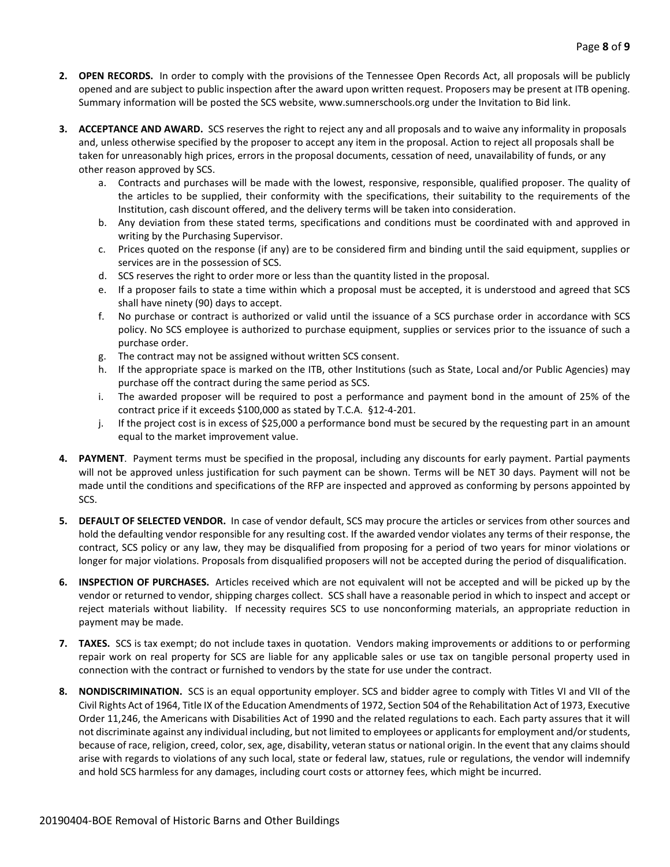- **2. OPEN RECORDS.** In order to comply with the provisions of the Tennessee Open Records Act, all proposals will be publicly opened and are subject to public inspection after the award upon written request. Proposers may be present at ITB opening. Summary information will be posted the SCS website, www.sumnerschools.org under the Invitation to Bid link.
- **3. ACCEPTANCE AND AWARD.** SCS reserves the right to reject any and all proposals and to waive any informality in proposals and, unless otherwise specified by the proposer to accept any item in the proposal. Action to reject all proposals shall be taken for unreasonably high prices, errors in the proposal documents, cessation of need, unavailability of funds, or any other reason approved by SCS.
	- a. Contracts and purchases will be made with the lowest, responsive, responsible, qualified proposer. The quality of the articles to be supplied, their conformity with the specifications, their suitability to the requirements of the Institution, cash discount offered, and the delivery terms will be taken into consideration.
	- b. Any deviation from these stated terms, specifications and conditions must be coordinated with and approved in writing by the Purchasing Supervisor.
	- c. Prices quoted on the response (if any) are to be considered firm and binding until the said equipment, supplies or services are in the possession of SCS.
	- d. SCS reserves the right to order more or less than the quantity listed in the proposal.
	- e. If a proposer fails to state a time within which a proposal must be accepted, it is understood and agreed that SCS shall have ninety (90) days to accept.
	- f. No purchase or contract is authorized or valid until the issuance of a SCS purchase order in accordance with SCS policy. No SCS employee is authorized to purchase equipment, supplies or services prior to the issuance of such a purchase order.
	- g. The contract may not be assigned without written SCS consent.
	- h. If the appropriate space is marked on the ITB, other Institutions (such as State, Local and/or Public Agencies) may purchase off the contract during the same period as SCS.
	- i. The awarded proposer will be required to post a performance and payment bond in the amount of 25% of the contract price if it exceeds \$100,000 as stated by T.C.A. §12-4-201.
	- j. If the project cost is in excess of \$25,000 a performance bond must be secured by the requesting part in an amount equal to the market improvement value.
- **4. PAYMENT**. Payment terms must be specified in the proposal, including any discounts for early payment. Partial payments will not be approved unless justification for such payment can be shown. Terms will be NET 30 days. Payment will not be made until the conditions and specifications of the RFP are inspected and approved as conforming by persons appointed by SCS.
- **5. DEFAULT OF SELECTED VENDOR.** In case of vendor default, SCS may procure the articles or services from other sources and hold the defaulting vendor responsible for any resulting cost. If the awarded vendor violates any terms of their response, the contract, SCS policy or any law, they may be disqualified from proposing for a period of two years for minor violations or longer for major violations. Proposals from disqualified proposers will not be accepted during the period of disqualification.
- **6. INSPECTION OF PURCHASES.** Articles received which are not equivalent will not be accepted and will be picked up by the vendor or returned to vendor, shipping charges collect. SCS shall have a reasonable period in which to inspect and accept or reject materials without liability. If necessity requires SCS to use nonconforming materials, an appropriate reduction in payment may be made.
- **7. TAXES.** SCS is tax exempt; do not include taxes in quotation. Vendors making improvements or additions to or performing repair work on real property for SCS are liable for any applicable sales or use tax on tangible personal property used in connection with the contract or furnished to vendors by the state for use under the contract.
- **8. NONDISCRIMINATION.** SCS is an equal opportunity employer. SCS and bidder agree to comply with Titles VI and VII of the Civil Rights Act of 1964, Title IX of the Education Amendments of 1972, Section 504 of the Rehabilitation Act of 1973, Executive Order 11,246, the Americans with Disabilities Act of 1990 and the related regulations to each. Each party assures that it will not discriminate against any individual including, but not limited to employees or applicants for employment and/or students, because of race, religion, creed, color, sex, age, disability, veteran status or national origin. In the event that any claims should arise with regards to violations of any such local, state or federal law, statues, rule or regulations, the vendor will indemnify and hold SCS harmless for any damages, including court costs or attorney fees, which might be incurred.